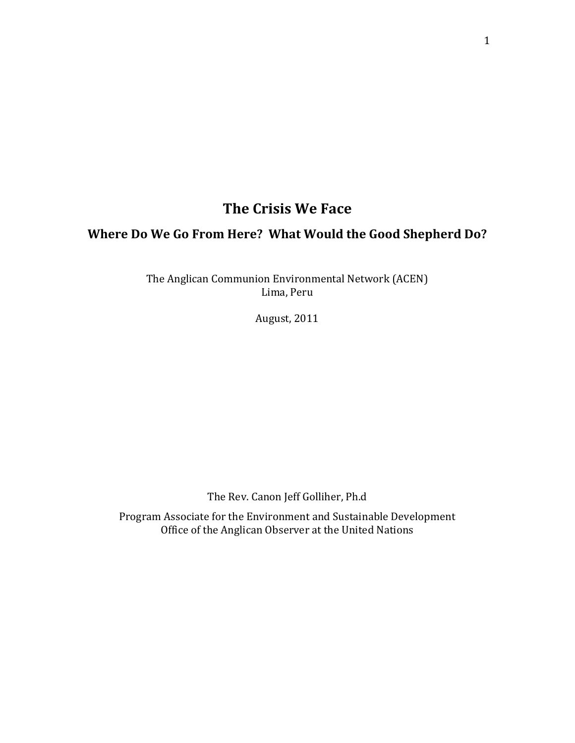# **The Crisis We Face**

# **Where Do We Go From Here? What Would the Good Shepherd Do?**

The Anglican Communion Environmental Network (ACEN) Lima, Peru

August, 2011

The Rev. Canon Jeff Golliher, Ph.d

Program Associate for the Environment and Sustainable Development Office of the Anglican Observer at the United Nations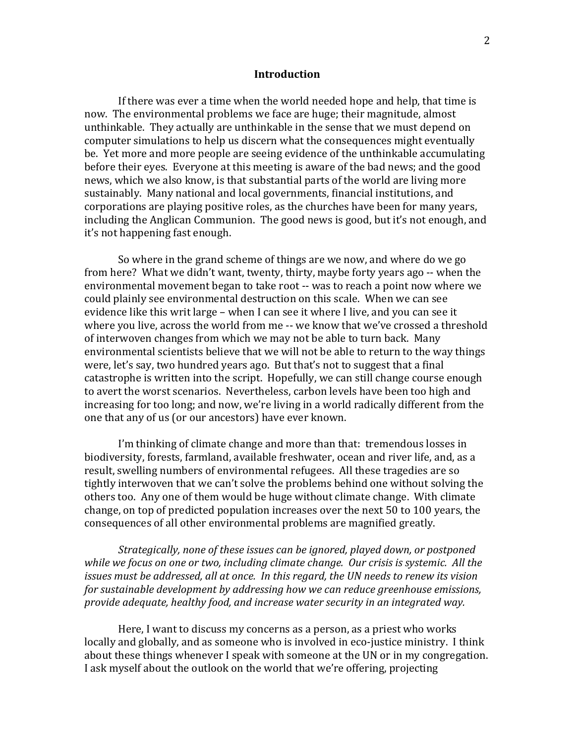#### **Introduction**

If there was ever a time when the world needed hope and help, that time is now. The environmental problems we face are huge; their magnitude, almost unthinkable. They actually are unthinkable in the sense that we must depend on computer simulations to help us discern what the consequences might eventually be. Yet more and more people are seeing evidence of the unthinkable accumulating before their eyes. Everyone at this meeting is aware of the bad news; and the good news, which we also know, is that substantial parts of the world are living more sustainably. Many national and local governments, financial institutions, and corporations are playing positive roles, as the churches have been for many years, including the Anglican Communion. The good news is good, but it's not enough, and it's not happening fast enough.

So where in the grand scheme of things are we now, and where do we go from here? What we didn't want, twenty, thirty, maybe forty years ago ‐‐ when the environmental movement began to take root ‐‐ was to reach a point now where we could plainly see environmental destruction on this scale. When we can see evidence like this writ large – when I can see it where I live, and you can see it where you live, across the world from me -- we know that we've crossed a threshold of interwoven changes from which we may not be able to turn back. Many environmental scientists believe that we will not be able to return to the way things were, let's say, two hundred years ago. But that's not to suggest that a final catastrophe is written into the script. Hopefully, we can still change course enough to avert the worst scenarios. Nevertheless, carbon levels have been too high and increasing for too long; and now, we're living in a world radically different from the one that any of us (or our ancestors) have ever known.

I'm thinking of climate change and more than that: tremendous losses in biodiversity, forests, farmland, available freshwater, ocean and river life, and, as a result, swelling numbers of environmental refugees. All these tragedies are so tightly interwoven that we can't solve the problems behind one without solving the others too. Any one of them would be huge without climate change. With climate change, on top of predicted population increases over the next 50 to 100 years, the consequences of all other environmental problems are magnified greatly.

*Strategically, none of these issues can be ignored, played down, or postponed while we focus on one or two, including climate change. Our crisis is systemic. All the issues must be addressed, all at once. In this regard, the UN needs to renew its vision for sustainable development by addressing how we can reduce greenhouse emissions, provide adequate, healthy food, and increase water security in an integrated way.* 

Here, I want to discuss my concerns as a person, as a priest who works locally and globally, and as someone who is involved in eco-justice ministry. I think about these things whenever I speak with someone at the UN or in my congregation. I ask myself about the outlook on the world that we're offering, projecting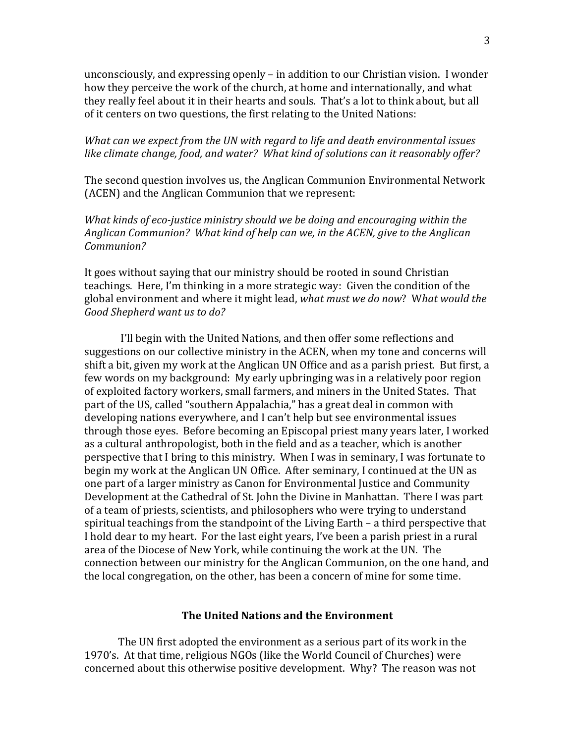unconsciously, and expressing openly – in addition to our Christian vision. I wonder how they perceive the work of the church, at home and internationally, and what they really feel about it in their hearts and souls. That's a lot to think about, but all of it centers on two questions, the first relating to the United Nations:

# *What can we expect from the UN with regard to life and death environmental issues like climate change, food, and water? What kind of solutions can it reasonably offer?*

The second question involves us, the Anglican Communion Environmental Network (ACEN) and the Anglican Communion that we represent:

*What kinds of ecojustice ministry should we be doing and encouraging within the Anglican Communion? What kind of help can we, in the ACEN, give to the Anglican Communion?*

It goes without saying that our ministry should be rooted in sound Christian teachings. Here, I'm thinking in a more strategic way: Given the condition of the global environment and where it might lead, *what must we do now*? W*hat would the Good Shepherd want us to do?* 

I'll begin with the United Nations, and then offer some reflections and suggestions on our collective ministry in the ACEN, when my tone and concerns will shift a bit, given my work at the Anglican UN Office and as a parish priest. But first, a few words on my background: My early upbringing was in a relatively poor region of exploited factory workers, small farmers, and miners in the United States. That part of the US, called "southern Appalachia," has a great deal in common with developing nations everywhere, and I can't help but see environmental issues through those eyes. Before becoming an Episcopal priest many years later, I worked as a cultural anthropologist, both in the field and as a teacher, which is another perspective that I bring to this ministry. When I was in seminary, I was fortunate to begin my work at the Anglican UN Office. After seminary, I continued at the UN as one part of a larger ministry as Canon for Environmental Justice and Community Development at the Cathedral of St. John the Divine in Manhattan. There I was part of a team of priests, scientists, and philosophers who were trying to understand spiritual teachings from the standpoint of the Living Earth – a third perspective that I hold dear to my heart. For the last eight years, I've been a parish priest in a rural area of the Diocese of New York, while continuing the work at the UN. The connection between our ministry for the Anglican Communion, on the one hand, and the local congregation, on the other, has been a concern of mine for some time.

# **The United Nations and the Environment**

 The UN first adopted the environment as a serious part of its work in the 1970's. At that time, religious NGOs (like the World Council of Churches) were concerned about this otherwise positive development. Why? The reason was not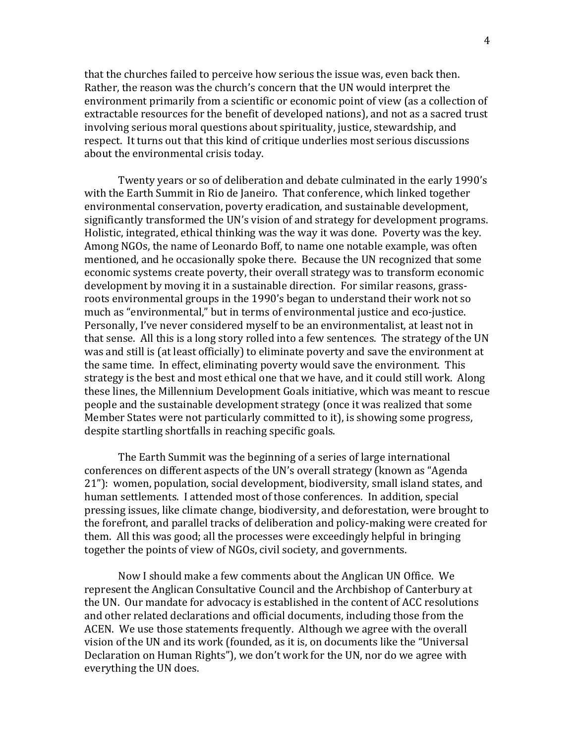that the churches failed to perceive how serious the issue was, even back then. Rather, the reason was the church's concern that the UN would interpret the environment primarily from a scientific or economic point of view (as a collection of extractable resources for the benefit of developed nations), and not as a sacred trust involving serious moral questions about spirituality, justice, stewardship, and respect. It turns out that this kind of critique underlies most serious discussions about the environmental crisis today.

Twenty years or so of deliberation and debate culminated in the early 1990's with the Earth Summit in Rio de Janeiro. That conference, which linked together environmental conservation, poverty eradication, and sustainable development, significantly transformed the UN's vision of and strategy for development programs. Holistic, integrated, ethical thinking was the way it was done. Poverty was the key. Among NGOs, the name of Leonardo Boff, to name one notable example, was often mentioned, and he occasionally spoke there. Because the UN recognized that some economic systems create poverty, their overall strategy was to transform economic development by moving it in a sustainable direction. For similar reasons, grass‐ roots environmental groups in the 1990's began to understand their work not so much as "environmental," but in terms of environmental justice and eco-justice. Personally, I've never considered myself to be an environmentalist, at least not in that sense. All this is a long story rolled into a few sentences. The strategy of the UN was and still is (at least officially) to eliminate poverty and save the environment at the same time. In effect, eliminating poverty would save the environment. This strategy is the best and most ethical one that we have, and it could still work. Along these lines, the Millennium Development Goals initiative, which was meant to rescue people and the sustainable development strategy (once it was realized that some Member States were not particularly committed to it), is showing some progress, despite startling shortfalls in reaching specific goals.

The Earth Summit was the beginning of a series of large international conferences on different aspects of the UN's overall strategy (known as "Agenda 21"): women, population, social development, biodiversity, small island states, and human settlements. I attended most of those conferences. In addition, special pressing issues, like climate change, biodiversity, and deforestation, were brought to the forefront, and parallel tracks of deliberation and policy‐making were created for them. All this was good; all the processes were exceedingly helpful in bringing together the points of view of NGOs, civil society, and governments.

Now I should make a few comments about the Anglican UN Office. We represent the Anglican Consultative Council and the Archbishop of Canterbury at the UN. Our mandate for advocacy is established in the content of ACC resolutions and other related declarations and official documents, including those from the ACEN. We use those statements frequently. Although we agree with the overall vision of the UN and its work (founded, as it is, on documents like the "Universal Declaration on Human Rights"), we don't work for the UN, nor do we agree with everything the UN does.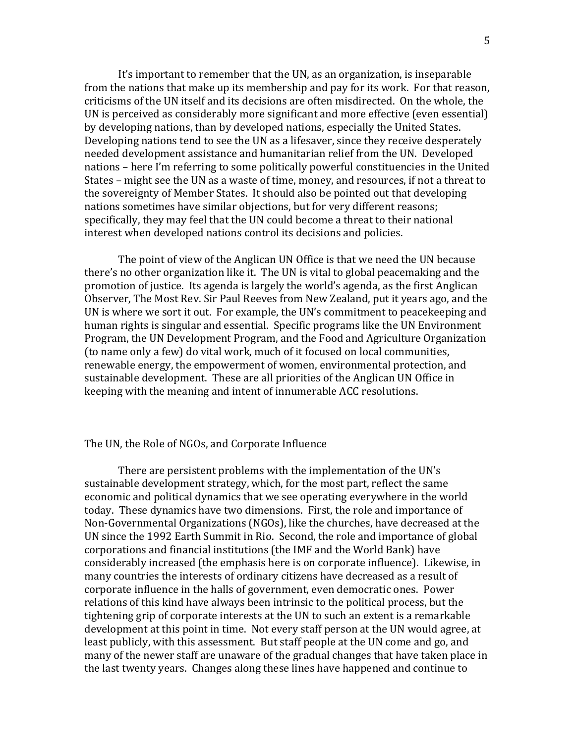It's important to remember that the UN, as an organization, is inseparable from the nations that make up its membership and pay for its work. For that reason, criticisms of the UN itself and its decisions are often misdirected. On the whole, the UN is perceived as considerably more significant and more effective (even essential) by developing nations, than by developed nations, especially the United States. Developing nations tend to see the UN as a lifesaver, since they receive desperately needed development assistance and humanitarian relief from the UN. Developed nations – here I'm referring to some politically powerful constituencies in the United States – might see the UN as a waste of time, money, and resources, if not a threat to the sovereignty of Member States. It should also be pointed out that developing nations sometimes have similar objections, but for very different reasons; specifically, they may feel that the UN could become a threat to their national interest when developed nations control its decisions and policies.

The point of view of the Anglican UN Office is that we need the UN because there's no other organization like it. The UN is vital to global peacemaking and the promotion of justice. Its agenda is largely the world's agenda, as the first Anglican Observer, The Most Rev. Sir Paul Reeves from New Zealand, put it years ago, and the UN is where we sort it out. For example, the UN's commitment to peacekeeping and human rights is singular and essential. Specific programs like the UN Environment Program, the UN Development Program, and the Food and Agriculture Organization (to name only a few) do vital work, much of it focused on local communities, renewable energy, the empowerment of women, environmental protection, and sustainable development. These are all priorities of the Anglican UN Office in keeping with the meaning and intent of innumerable ACC resolutions.

#### The UN, the Role of NGOs, and Corporate Influence

There are persistent problems with the implementation of the UN's sustainable development strategy, which, for the most part, reflect the same economic and political dynamics that we see operating everywhere in the world today. These dynamics have two dimensions. First, the role and importance of Non‐Governmental Organizations (NGOs), like the churches, have decreased at the UN since the 1992 Earth Summit in Rio. Second, the role and importance of global corporations and financial institutions (the IMF and the World Bank) have considerably increased (the emphasis here is on corporate influence). Likewise, in many countries the interests of ordinary citizens have decreased as a result of corporate influence in the halls of government, even democratic ones. Power relations of this kind have always been intrinsic to the political process, but the tightening grip of corporate interests at the UN to such an extent is a remarkable development at this point in time. Not every staff person at the UN would agree, at least publicly, with this assessment. But staff people at the UN come and go, and many of the newer staff are unaware of the gradual changes that have taken place in the last twenty years. Changes along these lines have happened and continue to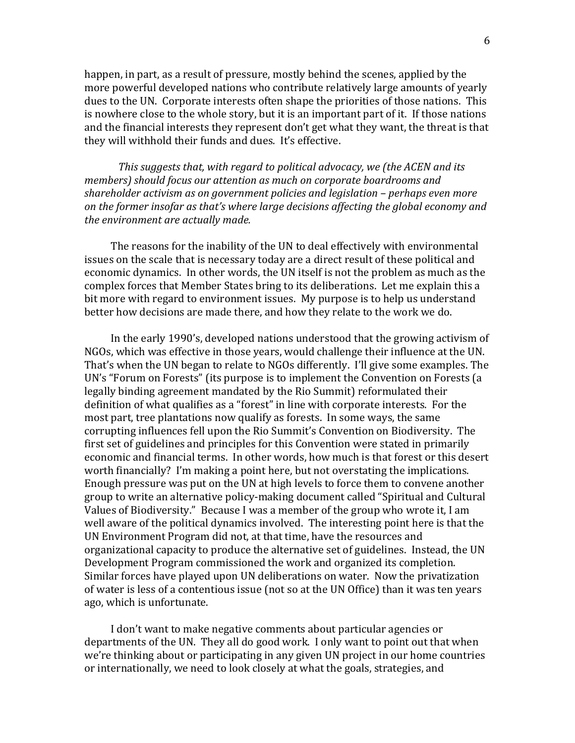happen, in part, as a result of pressure, mostly behind the scenes, applied by the more powerful developed nations who contribute relatively large amounts of yearly dues to the UN. Corporate interests often shape the priorities of those nations. This is nowhere close to the whole story, but it is an important part of it. If those nations and the financial interests they represent don't get what they want, the threat is that they will withhold their funds and dues. It's effective.

*This suggests that, with regard to political advocacy, we (the ACEN and its members) should focus our attention as much on corporate boardrooms and shareholder activism as on government policies and legislation – perhaps even more on the former insofar as that's where large decisions affecting the global economy and the environment are actually made.* 

 The reasons for the inability of the UN to deal effectively with environmental issues on the scale that is necessary today are a direct result of these political and economic dynamics. In other words, the UN itself is not the problem as much as the complex forces that Member States bring to its deliberations. Let me explain this a bit more with regard to environment issues. My purpose is to help us understand better how decisions are made there, and how they relate to the work we do.

 In the early 1990's, developed nations understood that the growing activism of NGOs, which was effective in those years, would challenge their influence at the UN. That's when the UN began to relate to NGOs differently. I'll give some examples. The UN's "Forum on Forests" (its purpose is to implement the Convention on Forests (a legally binding agreement mandated by the Rio Summit) reformulated their definition of what qualifies as a "forest" in line with corporate interests. For the most part, tree plantations now qualify as forests. In some ways, the same corrupting influences fell upon the Rio Summit's Convention on Biodiversity. The first set of guidelines and principles for this Convention were stated in primarily economic and financial terms. In other words, how much is that forest or this desert worth financially? I'm making a point here, but not overstating the implications. Enough pressure was put on the UN at high levels to force them to convene another group to write an alternative policy‐making document called "Spiritual and Cultural Values of Biodiversity." Because I was a member of the group who wrote it, I am well aware of the political dynamics involved. The interesting point here is that the UN Environment Program did not, at that time, have the resources and organizational capacity to produce the alternative set of guidelines. Instead, the UN Development Program commissioned the work and organized its completion. Similar forces have played upon UN deliberations on water. Now the privatization of water is less of a contentious issue (not so at the UN Office) than it was ten years ago, which is unfortunate.

 I don't want to make negative comments about particular agencies or departments of the UN. They all do good work. I only want to point out that when we're thinking about or participating in any given UN project in our home countries or internationally, we need to look closely at what the goals, strategies, and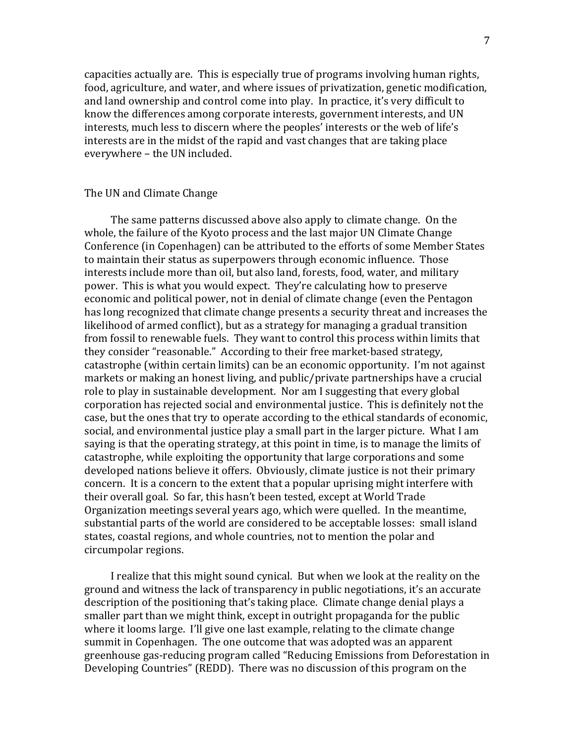capacities actually are. This is especially true of programs involving human rights, food, agriculture, and water, and where issues of privatization, genetic modification, and land ownership and control come into play. In practice, it's very difficult to know the differences among corporate interests, government interests, and UN interests, much less to discern where the peoples' interests or the web of life's interests are in the midst of the rapid and vast changes that are taking place everywhere – the UN included.

### The UN and Climate Change

 The same patterns discussed above also apply to climate change. On the whole, the failure of the Kyoto process and the last major UN Climate Change Conference (in Copenhagen) can be attributed to the efforts of some Member States to maintain their status as superpowers through economic influence. Those interests include more than oil, but also land, forests, food, water, and military power. This is what you would expect. They're calculating how to preserve economic and political power, not in denial of climate change (even the Pentagon has long recognized that climate change presents a security threat and increases the likelihood of armed conflict), but as a strategy for managing a gradual transition from fossil to renewable fuels. They want to control this process within limits that they consider "reasonable." According to their free market‐based strategy, catastrophe (within certain limits) can be an economic opportunity. I'm not against markets or making an honest living, and public/private partnerships have a crucial role to play in sustainable development. Nor am I suggesting that every global corporation has rejected social and environmental justice. This is definitely not the case, but the ones that try to operate according to the ethical standards of economic, social, and environmental justice play a small part in the larger picture. What I am saying is that the operating strategy, at this point in time, is to manage the limits of catastrophe, while exploiting the opportunity that large corporations and some developed nations believe it offers. Obviously, climate justice is not their primary concern. It is a concern to the extent that a popular uprising might interfere with their overall goal. So far, this hasn't been tested, except at World Trade Organization meetings several years ago, which were quelled. In the meantime, substantial parts of the world are considered to be acceptable losses: small island states, coastal regions, and whole countries, not to mention the polar and circumpolar regions.

 I realize that this might sound cynical. But when we look at the reality on the ground and witness the lack of transparency in public negotiations, it's an accurate description of the positioning that's taking place. Climate change denial plays a smaller part than we might think, except in outright propaganda for the public where it looms large. I'll give one last example, relating to the climate change summit in Copenhagen. The one outcome that was adopted was an apparent greenhouse gas‐reducing program called "Reducing Emissions from Deforestation in Developing Countries" (REDD). There was no discussion of this program on the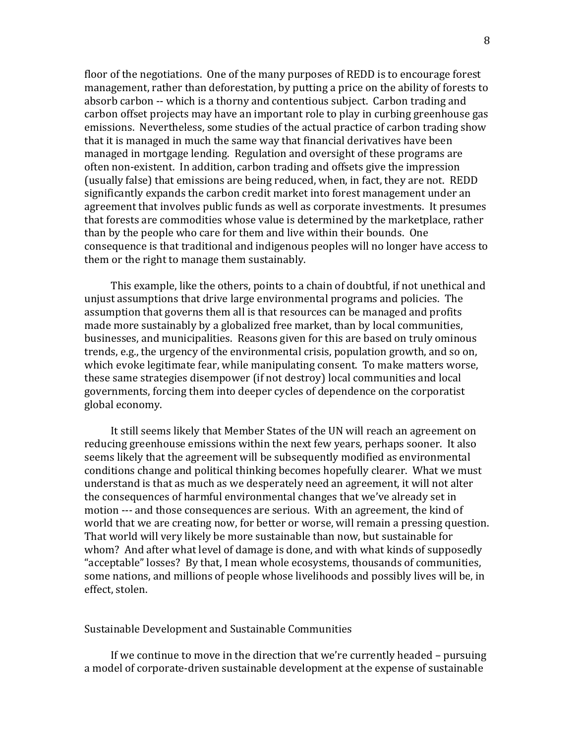floor of the negotiations. One of the many purposes of REDD is to encourage forest management, rather than deforestation, by putting a price on the ability of forests to absorb carbon ‐‐ which is a thorny and contentious subject. Carbon trading and carbon offset projects may have an important role to play in curbing greenhouse gas emissions. Nevertheless, some studies of the actual practice of carbon trading show that it is managed in much the same way that financial derivatives have been managed in mortgage lending. Regulation and oversight of these programs are often non‐existent. In addition, carbon trading and offsets give the impression (usually false) that emissions are being reduced, when, in fact, they are not. REDD significantly expands the carbon credit market into forest management under an agreement that involves public funds as well as corporate investments. It presumes that forests are commodities whose value is determined by the marketplace, rather than by the people who care for them and live within their bounds. One consequence is that traditional and indigenous peoples will no longer have access to them or the right to manage them sustainably.

 This example, like the others, points to a chain of doubtful, if not unethical and unjust assumptions that drive large environmental programs and policies. The assumption that governs them all is that resources can be managed and profits made more sustainably by a globalized free market, than by local communities, businesses, and municipalities. Reasons given for this are based on truly ominous trends, e.g., the urgency of the environmental crisis, population growth, and so on, which evoke legitimate fear, while manipulating consent. To make matters worse, these same strategies disempower (if not destroy) local communities and local governments, forcing them into deeper cycles of dependence on the corporatist global economy.

 It still seems likely that Member States of the UN will reach an agreement on reducing greenhouse emissions within the next few years, perhaps sooner. It also seems likely that the agreement will be subsequently modified as environmental conditions change and political thinking becomes hopefully clearer. What we must understand is that as much as we desperately need an agreement, it will not alter the consequences of harmful environmental changes that we've already set in motion ‐‐‐ and those consequences are serious. With an agreement, the kind of world that we are creating now, for better or worse, will remain a pressing question. That world will very likely be more sustainable than now, but sustainable for whom? And after what level of damage is done, and with what kinds of supposedly "acceptable" losses? By that, I mean whole ecosystems, thousands of communities, some nations, and millions of people whose livelihoods and possibly lives will be, in effect, stolen.

## Sustainable Development and Sustainable Communities

 If we continue to move in the direction that we're currently headed – pursuing a model of corporate‐driven sustainable development at the expense of sustainable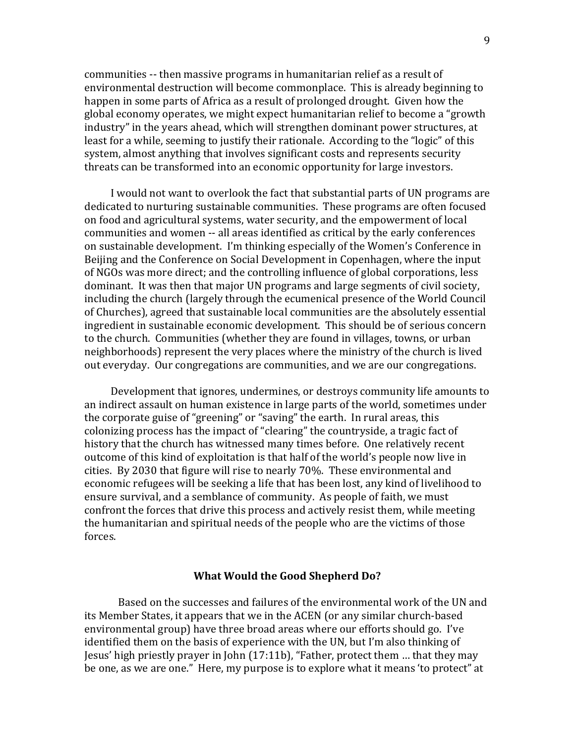communities ‐‐ then massive programs in humanitarian relief as a result of environmental destruction will become commonplace. This is already beginning to happen in some parts of Africa as a result of prolonged drought. Given how the global economy operates, we might expect humanitarian relief to become a "growth industry" in the years ahead, which will strengthen dominant power structures, at least for a while, seeming to justify their rationale. According to the "logic" of this system, almost anything that involves significant costs and represents security threats can be transformed into an economic opportunity for large investors.

 I would not want to overlook the fact that substantial parts of UN programs are dedicated to nurturing sustainable communities. These programs are often focused on food and agricultural systems, water security, and the empowerment of local communities and women ‐‐ all areas identified as critical by the early conferences on sustainable development. I'm thinking especially of the Women's Conference in Beijing and the Conference on Social Development in Copenhagen, where the input of NGOs was more direct; and the controlling influence of global corporations, less dominant. It was then that major UN programs and large segments of civil society, including the church (largely through the ecumenical presence of the World Council of Churches), agreed that sustainable local communities are the absolutely essential ingredient in sustainable economic development. This should be of serious concern to the church. Communities (whether they are found in villages, towns, or urban neighborhoods) represent the very places where the ministry of the church is lived out everyday. Our congregations are communities, and we are our congregations.

 Development that ignores, undermines, or destroys community life amounts to an indirect assault on human existence in large parts of the world, sometimes under the corporate guise of "greening" or "saving" the earth. In rural areas, this colonizing process has the impact of "clearing" the countryside, a tragic fact of history that the church has witnessed many times before. One relatively recent outcome of this kind of exploitation is that half of the world's people now live in cities. By 2030 that figure will rise to nearly 70%. These environmental and economic refugees will be seeking a life that has been lost, any kind of livelihood to ensure survival, and a semblance of community. As people of faith, we must confront the forces that drive this process and actively resist them, while meeting the humanitarian and spiritual needs of the people who are the victims of those forces.

#### **What Would the Good Shepherd Do?**

 Based on the successes and failures of the environmental work of the UN and its Member States, it appears that we in the ACEN (or any similar church‐based environmental group) have three broad areas where our efforts should go. I've identified them on the basis of experience with the UN, but I'm also thinking of Jesus' high priestly prayer in John (17:11b), "Father, protect them … that they may be one, as we are one." Here, my purpose is to explore what it means 'to protect" at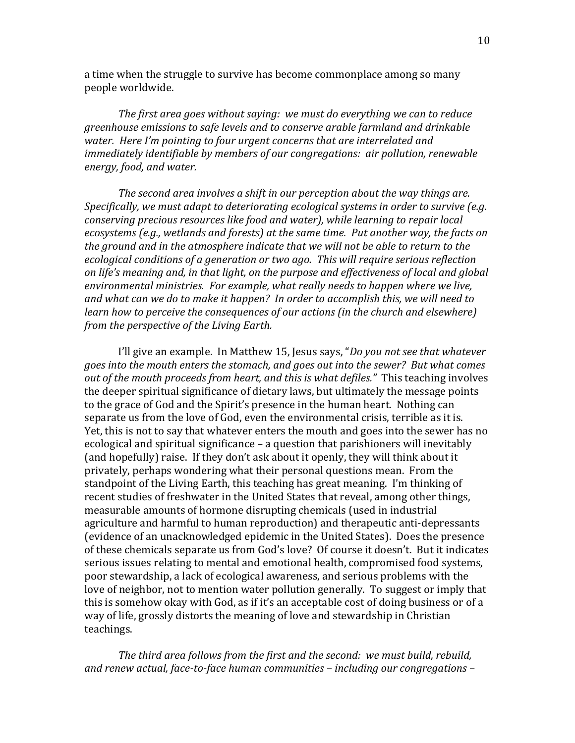a time when the struggle to survive has become commonplace among so many people worldwide.

*The first area goes without saying: we must do everything we can to reduce greenhouse emissions to safe levels and to conserve arable farmland and drinkable water. Here I'm pointing to four urgent concerns that are interrelated and immediately identifiable by members of our congregations: air pollution, renewable energy, food, and water.* 

*The second area involves a shift in our perception about the way things are. Specifically, we must adapt to deteriorating ecological systems in order to survive (e.g. conserving precious resources like food and water), while learning to repair local ecosystems (e.g., wetlands and forests) at the same time. Put another way, the facts on the ground and in the atmosphere indicate that we will not be able to return to the ecological conditions of a generation or two ago. This will require serious reflection on life's meaning and, in that light, on the purpose and effectiveness of local and global environmental ministries. For example, what really needs to happen where we live, and what can we do to make it happen? In order to accomplish this, we will need to learn how to perceive the consequences of our actions (in the church and elsewhere) from the perspective of the Living Earth.* 

I'll give an example. In Matthew 15, Jesus says, "*Do you not see that whatever goes into the mouth enters the stomach, and goes out into the sewer? But what comes out of the mouth proceeds from heart, and this is what defiles."* This teaching involves the deeper spiritual significance of dietary laws, but ultimately the message points to the grace of God and the Spirit's presence in the human heart. Nothing can separate us from the love of God, even the environmental crisis, terrible as it is. Yet, this is not to say that whatever enters the mouth and goes into the sewer has no ecological and spiritual significance – a question that parishioners will inevitably (and hopefully) raise. If they don't ask about it openly, they will think about it privately, perhaps wondering what their personal questions mean. From the standpoint of the Living Earth, this teaching has great meaning. I'm thinking of recent studies of freshwater in the United States that reveal, among other things, measurable amounts of hormone disrupting chemicals (used in industrial agriculture and harmful to human reproduction) and therapeutic anti‐depressants (evidence of an unacknowledged epidemic in the United States). Does the presence of these chemicals separate us from God's love? Of course it doesn't. But it indicates serious issues relating to mental and emotional health, compromised food systems, poor stewardship, a lack of ecological awareness, and serious problems with the love of neighbor, not to mention water pollution generally. To suggest or imply that this is somehow okay with God, as if it's an acceptable cost of doing business or of a way of life, grossly distorts the meaning of love and stewardship in Christian teachings.

*The third area follows from the first and the second: we must build, rebuild, and renew actual, facetoface human communities – including our congregations –*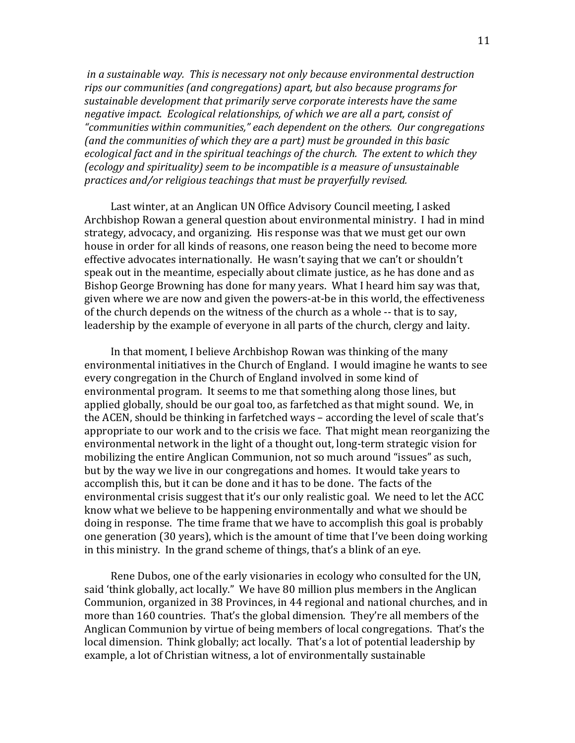*in a sustainable way. This is necessary not only because environmental destruction rips our communities (and congregations) apart, but also because programs for sustainable development that primarily serve corporate interests have the same negative impact. Ecological relationships, of which we are all a part, consist of "communities within communities," each dependent on the others. Our congregations (and the communities of which they are a part) must be grounded in this basic ecological fact and in the spiritual teachings of the church. The extent to which they (ecology and spirituality) seem to be incompatible is a measure of unsustainable practices and/or religious teachings that must be prayerfully revised.* 

 Last winter, at an Anglican UN Office Advisory Council meeting, I asked Archbishop Rowan a general question about environmental ministry. I had in mind strategy, advocacy, and organizing. His response was that we must get our own house in order for all kinds of reasons, one reason being the need to become more effective advocates internationally. He wasn't saying that we can't or shouldn't speak out in the meantime, especially about climate justice, as he has done and as Bishop George Browning has done for many years. What I heard him say was that, given where we are now and given the powers‐at‐be in this world, the effectiveness of the church depends on the witness of the church as a whole ‐‐ that is to say, leadership by the example of everyone in all parts of the church, clergy and laity.

 In that moment, I believe Archbishop Rowan was thinking of the many environmental initiatives in the Church of England. I would imagine he wants to see every congregation in the Church of England involved in some kind of environmental program. It seems to me that something along those lines, but applied globally, should be our goal too, as farfetched as that might sound. We, in the ACEN, should be thinking in farfetched ways – according the level of scale that's appropriate to our work and to the crisis we face. That might mean reorganizing the environmental network in the light of a thought out, long‐term strategic vision for mobilizing the entire Anglican Communion, not so much around "issues" as such, but by the way we live in our congregations and homes. It would take years to accomplish this, but it can be done and it has to be done. The facts of the environmental crisis suggest that it's our only realistic goal. We need to let the ACC know what we believe to be happening environmentally and what we should be doing in response. The time frame that we have to accomplish this goal is probably one generation (30 years), which is the amount of time that I've been doing working in this ministry. In the grand scheme of things, that's a blink of an eye.

 Rene Dubos, one of the early visionaries in ecology who consulted for the UN, said 'think globally, act locally." We have 80 million plus members in the Anglican Communion, organized in 38 Provinces, in 44 regional and national churches, and in more than 160 countries. That's the global dimension. They're all members of the Anglican Communion by virtue of being members of local congregations. That's the local dimension. Think globally; act locally. That's a lot of potential leadership by example, a lot of Christian witness, a lot of environmentally sustainable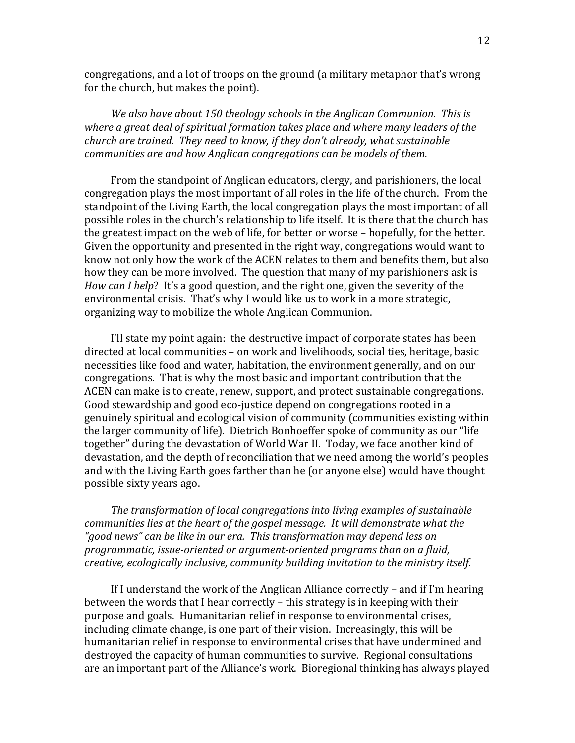congregations, and a lot of troops on the ground (a military metaphor that's wrong for the church, but makes the point).

*We also have about 150 theology schools in the Anglican Communion. This is where a great deal of spiritual formation takes place and where many leaders of the church are trained. They need to know, if they don't already, what sustainable communities are and how Anglican congregations can be models of them.* 

 From the standpoint of Anglican educators, clergy, and parishioners, the local congregation plays the most important of all roles in the life of the church. From the standpoint of the Living Earth, the local congregation plays the most important of all possible roles in the church's relationship to life itself. It is there that the church has the greatest impact on the web of life, for better or worse – hopefully, for the better. Given the opportunity and presented in the right way, congregations would want to know not only how the work of the ACEN relates to them and benefits them, but also how they can be more involved. The question that many of my parishioners ask is *How can I help*? It's a good question, and the right one, given the severity of the environmental crisis. That's why I would like us to work in a more strategic, organizing way to mobilize the whole Anglican Communion.

 I'll state my point again: the destructive impact of corporate states has been directed at local communities – on work and livelihoods, social ties, heritage, basic necessities like food and water, habitation, the environment generally, and on our congregations. That is why the most basic and important contribution that the ACEN can make is to create, renew, support, and protect sustainable congregations. Good stewardship and good eco‐justice depend on congregations rooted in a genuinely spiritual and ecological vision of community (communities existing within the larger community of life). Dietrich Bonhoeffer spoke of community as our "life together" during the devastation of World War II. Today, we face another kind of devastation, and the depth of reconciliation that we need among the world's peoples and with the Living Earth goes farther than he (or anyone else) would have thought possible sixty years ago.

*The transformation of local congregations into living examples of sustainable communities lies at the heart of the gospel message. It will demonstrate what the "good news" can be like in our era. This transformation may depend less on programmatic, issueoriented or argumentoriented programs than on a fluid, creative, ecologically inclusive, community building invitation to the ministry itself.*

 If I understand the work of the Anglican Alliance correctly – and if I'm hearing between the words that I hear correctly – this strategy is in keeping with their purpose and goals. Humanitarian relief in response to environmental crises, including climate change, is one part of their vision. Increasingly, this will be humanitarian relief in response to environmental crises that have undermined and destroyed the capacity of human communities to survive. Regional consultations are an important part of the Alliance's work. Bioregional thinking has always played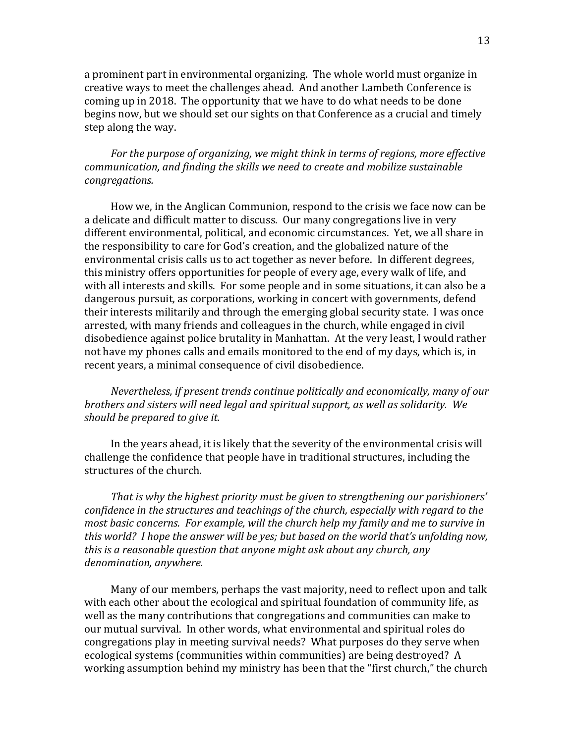a prominent part in environmental organizing. The whole world must organize in creative ways to meet the challenges ahead. And another Lambeth Conference is coming up in 2018. The opportunity that we have to do what needs to be done begins now, but we should set our sights on that Conference as a crucial and timely step along the way.

*For the purpose of organizing, we might think in terms of regions, more effective communication, and finding the skills we need to create and mobilize sustainable congregations.*

 How we, in the Anglican Communion, respond to the crisis we face now can be a delicate and difficult matter to discuss. Our many congregations live in very different environmental, political, and economic circumstances. Yet, we all share in the responsibility to care for God's creation, and the globalized nature of the environmental crisis calls us to act together as never before. In different degrees, this ministry offers opportunities for people of every age, every walk of life, and with all interests and skills. For some people and in some situations, it can also be a dangerous pursuit, as corporations, working in concert with governments, defend their interests militarily and through the emerging global security state. I was once arrested, with many friends and colleagues in the church, while engaged in civil disobedience against police brutality in Manhattan. At the very least, I would rather not have my phones calls and emails monitored to the end of my days, which is, in recent years, a minimal consequence of civil disobedience.

*Nevertheless, if present trends continue politically and economically, many of our brothers and sisters will need legal and spiritual support, as well as solidarity. We should be prepared to give it.* 

 In the years ahead, it is likely that the severity of the environmental crisis will challenge the confidence that people have in traditional structures, including the structures of the church.

*That is why the highest priority must be given to strengthening our parishioners' confidence in the structures and teachings of the church, especially with regard to the most basic concerns. For example, will the church help my family and me to survive in this world? I hope the answer will be yes; but based on the world that's unfolding now, this is a reasonable question that anyone might ask about any church, any denomination, anywhere.* 

 Many of our members, perhaps the vast majority, need to reflect upon and talk with each other about the ecological and spiritual foundation of community life, as well as the many contributions that congregations and communities can make to our mutual survival. In other words, what environmental and spiritual roles do congregations play in meeting survival needs? What purposes do they serve when ecological systems (communities within communities) are being destroyed? A working assumption behind my ministry has been that the "first church," the church